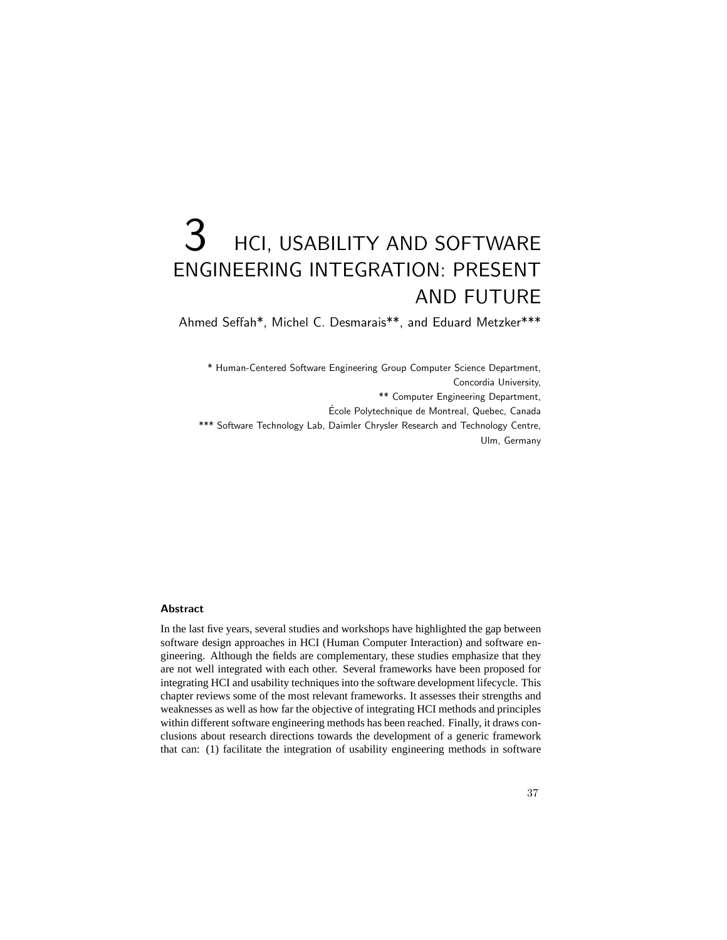# $3$  HCI, USABILITY AND SOFTWARE ENGINEERING INTEGRATION: PRESENT AND FUTURE

Ahmed Seffah\*, Michel C. Desmarais\*\*, and Eduard Metzker\*\*\*

\* Human-Centered Software Engineering Group Computer Science Department, Concordia University, \*\* Computer Engineering Department, Ecole Polytechnique de Montreal, Quebec, Canada ´ \*\*\* Software Technology Lab, Daimler Chrysler Research and Technology Centre, Ulm, Germany

# Abstract

In the last five years, several studies and workshops have highlighted the gap between software design approaches in HCI (Human Computer Interaction) and software engineering. Although the fields are complementary, these studies emphasize that they are not well integrated with each other. Several frameworks have been proposed for integrating HCI and usability techniques into the software development lifecycle. This chapter reviews some of the most relevant frameworks. It assesses their strengths and weaknesses as well as how far the objective of integrating HCI methods and principles within different software engineering methods has been reached. Finally, it draws conclusions about research directions towards the development of a generic framework that can: (1) facilitate the integration of usability engineering methods in software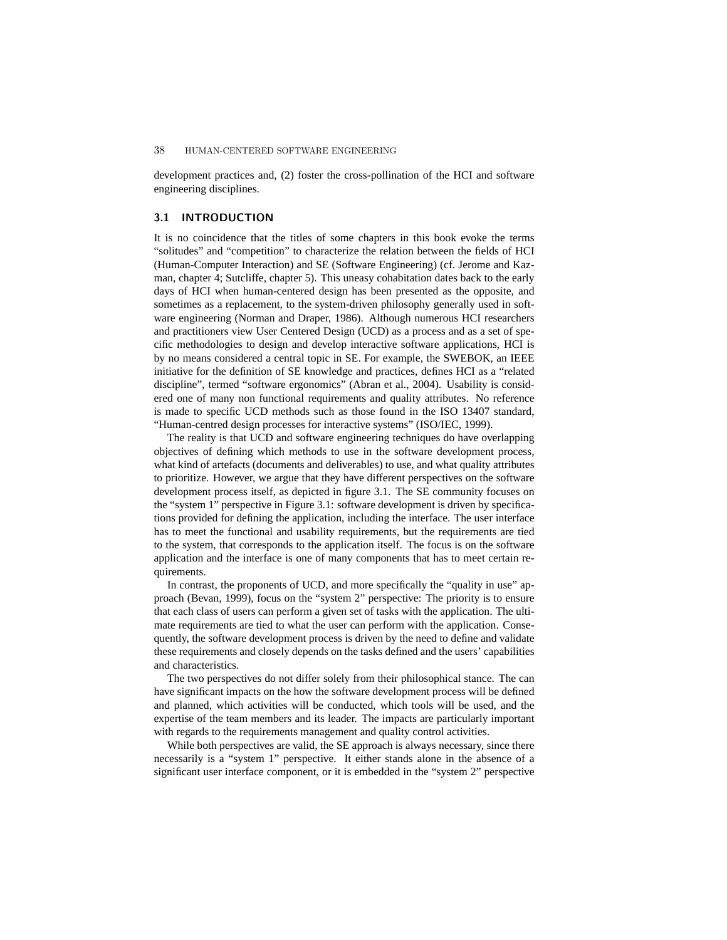development practices and, (2) foster the cross-pollination of the HCI and software engineering disciplines.

# 3.1 INTRODUCTION

It is no coincidence that the titles of some chapters in this book evoke the terms "solitudes" and "competition" to characterize the relation between the fields of HCI (Human-Computer Interaction) and SE (Software Engineering) (cf. Jerome and Kazman, chapter 4; Sutcliffe, chapter 5). This uneasy cohabitation dates back to the early days of HCI when human-centered design has been presented as the opposite, and sometimes as a replacement, to the system-driven philosophy generally used in software engineering (Norman and Draper, 1986). Although numerous HCI researchers and practitioners view User Centered Design (UCD) as a process and as a set of specific methodologies to design and develop interactive software applications, HCI is by no means considered a central topic in SE. For example, the SWEBOK, an IEEE initiative for the definition of SE knowledge and practices, defines HCI as a "related discipline", termed "software ergonomics" (Abran et al., 2004). Usability is considered one of many non functional requirements and quality attributes. No reference is made to specific UCD methods such as those found in the ISO 13407 standard, "Human-centred design processes for interactive systems" (ISO/IEC, 1999).

The reality is that UCD and software engineering techniques do have overlapping objectives of defining which methods to use in the software development process, what kind of artefacts (documents and deliverables) to use, and what quality attributes to prioritize. However, we argue that they have different perspectives on the software development process itself, as depicted in figure 3.1. The SE community focuses on the "system 1" perspective in Figure 3.1: software development is driven by specifications provided for defining the application, including the interface. The user interface has to meet the functional and usability requirements, but the requirements are tied to the system, that corresponds to the application itself. The focus is on the software application and the interface is one of many components that has to meet certain requirements.

In contrast, the proponents of UCD, and more specifically the "quality in use" approach (Bevan, 1999), focus on the "system 2" perspective: The priority is to ensure that each class of users can perform a given set of tasks with the application. The ultimate requirements are tied to what the user can perform with the application. Consequently, the software development process is driven by the need to define and validate these requirements and closely depends on the tasks defined and the users' capabilities and characteristics.

The two perspectives do not differ solely from their philosophical stance. The can have significant impacts on the how the software development process will be defined and planned, which activities will be conducted, which tools will be used, and the expertise of the team members and its leader. The impacts are particularly important with regards to the requirements management and quality control activities.

While both perspectives are valid, the SE approach is always necessary, since there necessarily is a "system 1" perspective. It either stands alone in the absence of a significant user interface component, or it is embedded in the "system 2" perspective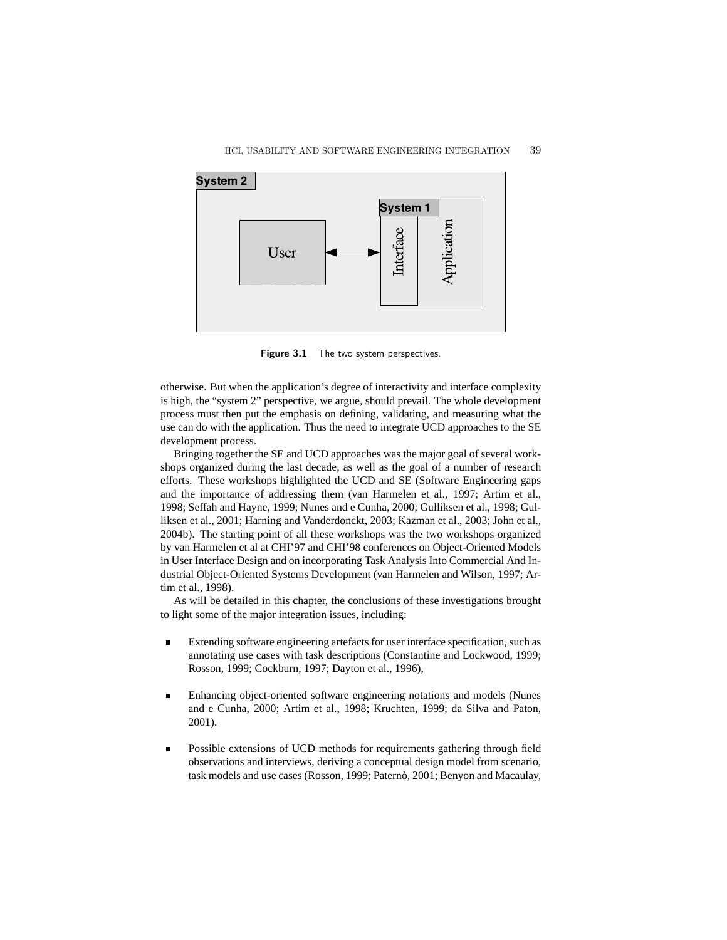

Figure 3.1 The two system perspectives.

otherwise. But when the application's degree of interactivity and interface complexity is high, the "system 2" perspective, we argue, should prevail. The whole development process must then put the emphasis on defining, validating, and measuring what the use can do with the application. Thus the need to integrate UCD approaches to the SE development process.

Bringing together the SE and UCD approaches was the major goal of several workshops organized during the last decade, as well as the goal of a number of research efforts. These workshops highlighted the UCD and SE (Software Engineering gaps and the importance of addressing them (van Harmelen et al., 1997; Artim et al., 1998; Seffah and Hayne, 1999; Nunes and e Cunha, 2000; Gulliksen et al., 1998; Gulliksen et al., 2001; Harning and Vanderdonckt, 2003; Kazman et al., 2003; John et al., 2004b). The starting point of all these workshops was the two workshops organized by van Harmelen et al at CHI'97 and CHI'98 conferences on Object-Oriented Models in User Interface Design and on incorporating Task Analysis Into Commercial And Industrial Object-Oriented Systems Development (van Harmelen and Wilson, 1997; Artim et al., 1998).

As will be detailed in this chapter, the conclusions of these investigations brought to light some of the major integration issues, including:

- Extending software engineering artefacts for user interface specification, such as annotating use cases with task descriptions (Constantine and Lockwood, 1999; Rosson, 1999; Cockburn, 1997; Dayton et al., 1996),
- Enhancing object-oriented software engineering notations and models (Nunes  $\blacksquare$ and e Cunha, 2000; Artim et al., 1998; Kruchten, 1999; da Silva and Paton, 2001).
- $\blacksquare$ Possible extensions of UCD methods for requirements gathering through field observations and interviews, deriving a conceptual design model from scenario, task models and use cases (Rosson, 1999; Paternò, 2001; Benyon and Macaulay,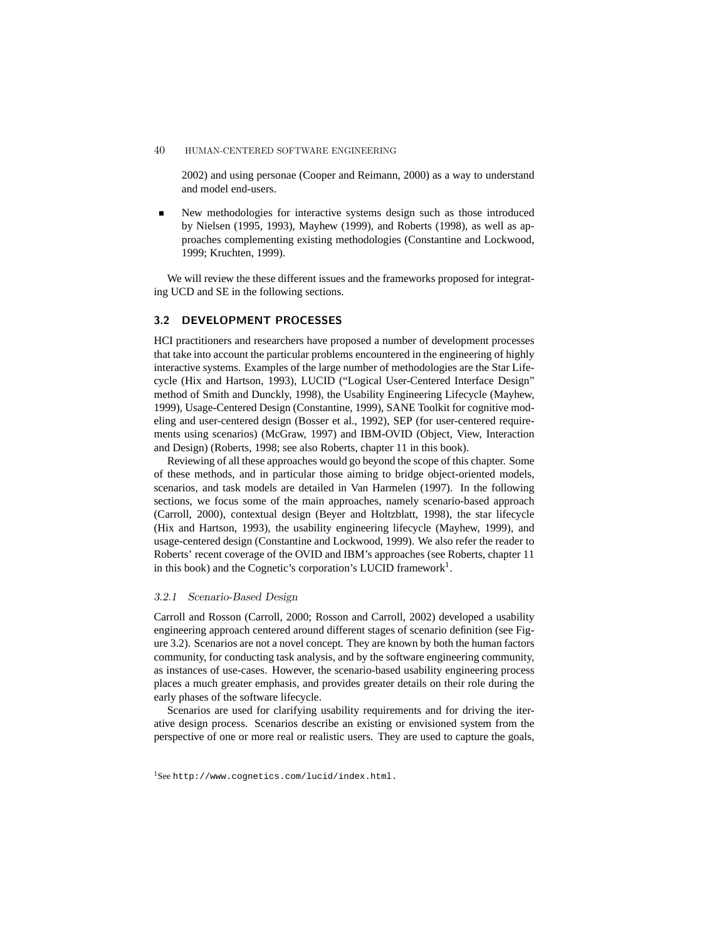2002) and using personae (Cooper and Reimann, 2000) as a way to understand and model end-users.

New methodologies for interactive systems design such as those introduced by Nielsen (1995, 1993), Mayhew (1999), and Roberts (1998), as well as approaches complementing existing methodologies (Constantine and Lockwood, 1999; Kruchten, 1999).

We will review the these different issues and the frameworks proposed for integrating UCD and SE in the following sections.

# 3.2 DEVELOPMENT PROCESSES

HCI practitioners and researchers have proposed a number of development processes that take into account the particular problems encountered in the engineering of highly interactive systems. Examples of the large number of methodologies are the Star Lifecycle (Hix and Hartson, 1993), LUCID ("Logical User-Centered Interface Design" method of Smith and Dunckly, 1998), the Usability Engineering Lifecycle (Mayhew, 1999), Usage-Centered Design (Constantine, 1999), SANE Toolkit for cognitive modeling and user-centered design (Bosser et al., 1992), SEP (for user-centered requirements using scenarios) (McGraw, 1997) and IBM-OVID (Object, View, Interaction and Design) (Roberts, 1998; see also Roberts, chapter 11 in this book).

Reviewing of all these approaches would go beyond the scope of this chapter. Some of these methods, and in particular those aiming to bridge object-oriented models, scenarios, and task models are detailed in Van Harmelen (1997). In the following sections, we focus some of the main approaches, namely scenario-based approach (Carroll, 2000), contextual design (Beyer and Holtzblatt, 1998), the star lifecycle (Hix and Hartson, 1993), the usability engineering lifecycle (Mayhew, 1999), and usage-centered design (Constantine and Lockwood, 1999). We also refer the reader to Roberts' recent coverage of the OVID and IBM's approaches (see Roberts, chapter 11 in this book) and the Cognetic's corporation's LUCID framework<sup>1</sup>.

## 3.2.1 Scenario-Based Design

Carroll and Rosson (Carroll, 2000; Rosson and Carroll, 2002) developed a usability engineering approach centered around different stages of scenario definition (see Figure 3.2). Scenarios are not a novel concept. They are known by both the human factors community, for conducting task analysis, and by the software engineering community, as instances of use-cases. However, the scenario-based usability engineering process places a much greater emphasis, and provides greater details on their role during the early phases of the software lifecycle.

Scenarios are used for clarifying usability requirements and for driving the iterative design process. Scenarios describe an existing or envisioned system from the perspective of one or more real or realistic users. They are used to capture the goals,

<sup>1</sup>See http://www.cognetics.com/lucid/index.html.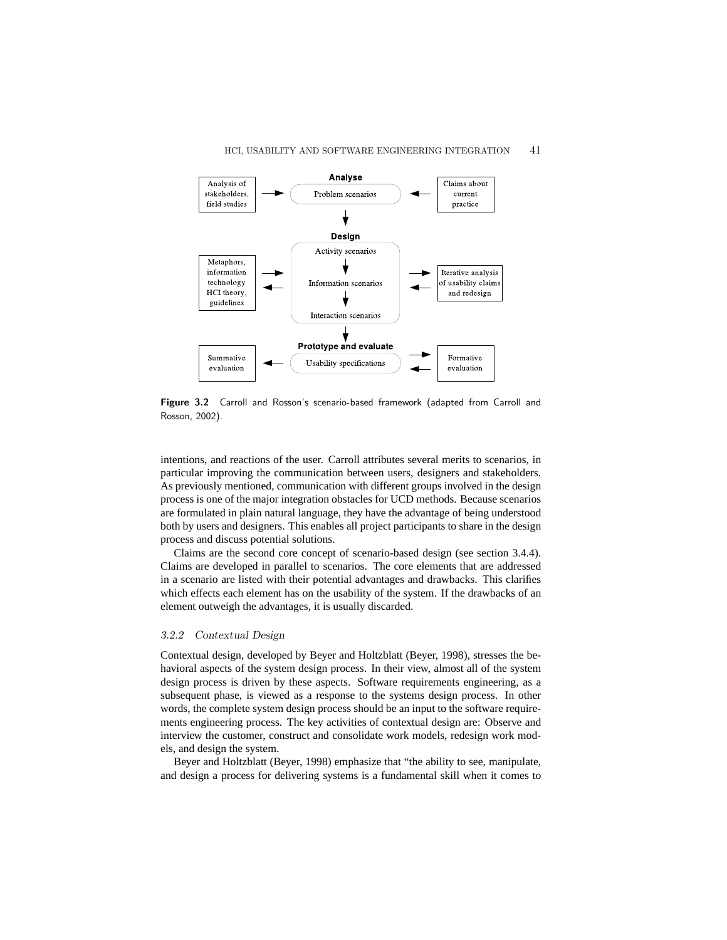



Figure 3.2 Carroll and Rosson's scenario-based framework (adapted from Carroll and Rosson, 2002).

intentions, and reactions of the user. Carroll attributes several merits to scenarios, in particular improving the communication between users, designers and stakeholders. As previously mentioned, communication with different groups involved in the design process is one of the major integration obstacles for UCD methods. Because scenarios are formulated in plain natural language, they have the advantage of being understood both by users and designers. This enables all project participants to share in the design process and discuss potential solutions.

Claims are the second core concept of scenario-based design (see section 3.4.4). Claims are developed in parallel to scenarios. The core elements that are addressed in a scenario are listed with their potential advantages and drawbacks. This clarifies which effects each element has on the usability of the system. If the drawbacks of an element outweigh the advantages, it is usually discarded.

# 3.2.2 Contextual Design

Contextual design, developed by Beyer and Holtzblatt (Beyer, 1998), stresses the behavioral aspects of the system design process. In their view, almost all of the system design process is driven by these aspects. Software requirements engineering, as a subsequent phase, is viewed as a response to the systems design process. In other words, the complete system design process should be an input to the software requirements engineering process. The key activities of contextual design are: Observe and interview the customer, construct and consolidate work models, redesign work models, and design the system.

Beyer and Holtzblatt (Beyer, 1998) emphasize that "the ability to see, manipulate, and design a process for delivering systems is a fundamental skill when it comes to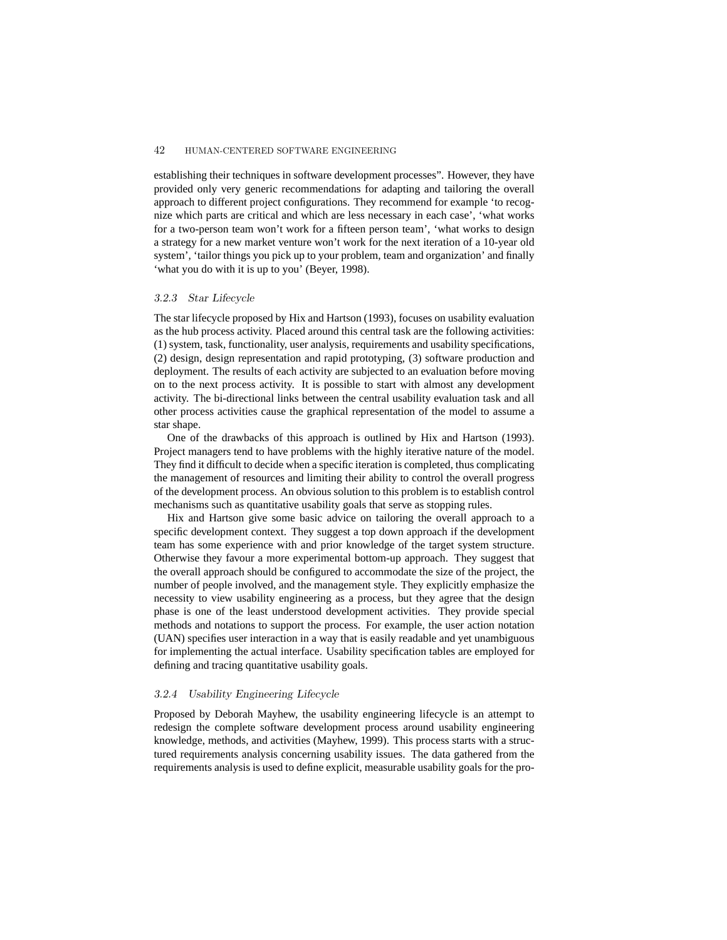establishing their techniques in software development processes". However, they have provided only very generic recommendations for adapting and tailoring the overall approach to different project configurations. They recommend for example 'to recognize which parts are critical and which are less necessary in each case', 'what works for a two-person team won't work for a fifteen person team', 'what works to design a strategy for a new market venture won't work for the next iteration of a 10-year old system', 'tailor things you pick up to your problem, team and organization' and finally 'what you do with it is up to you' (Beyer, 1998).

#### 3.2.3 Star Lifecycle

The star lifecycle proposed by Hix and Hartson (1993), focuses on usability evaluation as the hub process activity. Placed around this central task are the following activities: (1) system, task, functionality, user analysis, requirements and usability specifications, (2) design, design representation and rapid prototyping, (3) software production and deployment. The results of each activity are subjected to an evaluation before moving on to the next process activity. It is possible to start with almost any development activity. The bi-directional links between the central usability evaluation task and all other process activities cause the graphical representation of the model to assume a star shape.

One of the drawbacks of this approach is outlined by Hix and Hartson (1993). Project managers tend to have problems with the highly iterative nature of the model. They find it difficult to decide when a specific iteration is completed, thus complicating the management of resources and limiting their ability to control the overall progress of the development process. An obvious solution to this problem is to establish control mechanisms such as quantitative usability goals that serve as stopping rules.

Hix and Hartson give some basic advice on tailoring the overall approach to a specific development context. They suggest a top down approach if the development team has some experience with and prior knowledge of the target system structure. Otherwise they favour a more experimental bottom-up approach. They suggest that the overall approach should be configured to accommodate the size of the project, the number of people involved, and the management style. They explicitly emphasize the necessity to view usability engineering as a process, but they agree that the design phase is one of the least understood development activities. They provide special methods and notations to support the process. For example, the user action notation (UAN) specifies user interaction in a way that is easily readable and yet unambiguous for implementing the actual interface. Usability specification tables are employed for defining and tracing quantitative usability goals.

#### 3.2.4 Usability Engineering Lifecycle

Proposed by Deborah Mayhew, the usability engineering lifecycle is an attempt to redesign the complete software development process around usability engineering knowledge, methods, and activities (Mayhew, 1999). This process starts with a structured requirements analysis concerning usability issues. The data gathered from the requirements analysis is used to define explicit, measurable usability goals for the pro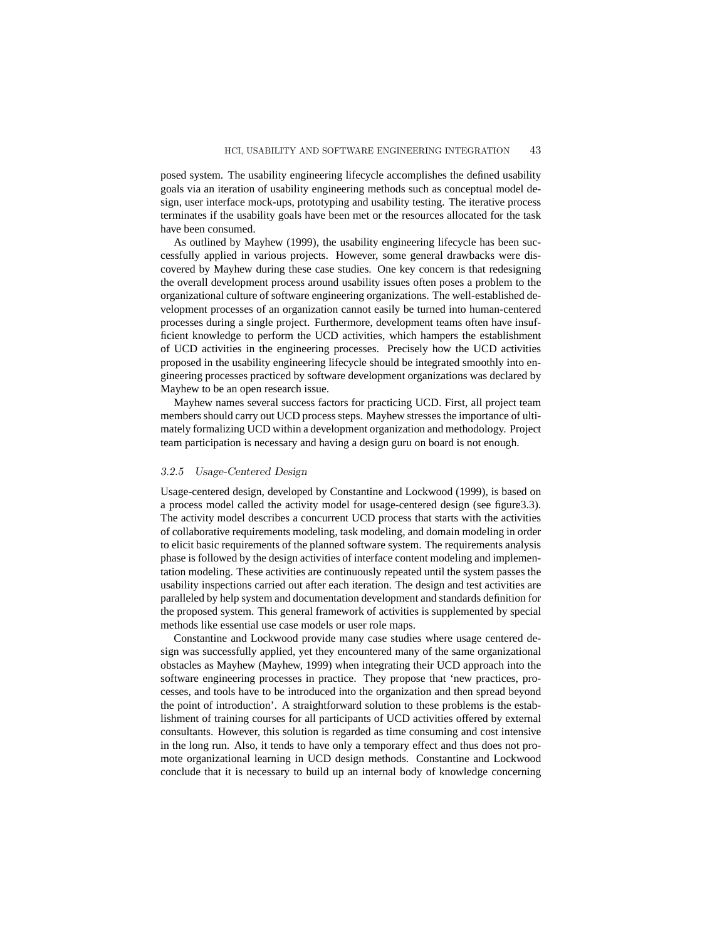posed system. The usability engineering lifecycle accomplishes the defined usability goals via an iteration of usability engineering methods such as conceptual model design, user interface mock-ups, prototyping and usability testing. The iterative process terminates if the usability goals have been met or the resources allocated for the task have been consumed.

As outlined by Mayhew (1999), the usability engineering lifecycle has been successfully applied in various projects. However, some general drawbacks were discovered by Mayhew during these case studies. One key concern is that redesigning the overall development process around usability issues often poses a problem to the organizational culture of software engineering organizations. The well-established development processes of an organization cannot easily be turned into human-centered processes during a single project. Furthermore, development teams often have insufficient knowledge to perform the UCD activities, which hampers the establishment of UCD activities in the engineering processes. Precisely how the UCD activities proposed in the usability engineering lifecycle should be integrated smoothly into engineering processes practiced by software development organizations was declared by Mayhew to be an open research issue.

Mayhew names several success factors for practicing UCD. First, all project team members should carry out UCD process steps. Mayhew stresses the importance of ultimately formalizing UCD within a development organization and methodology. Project team participation is necessary and having a design guru on board is not enough.

# 3.2.5 Usage-Centered Design

Usage-centered design, developed by Constantine and Lockwood (1999), is based on a process model called the activity model for usage-centered design (see figure3.3). The activity model describes a concurrent UCD process that starts with the activities of collaborative requirements modeling, task modeling, and domain modeling in order to elicit basic requirements of the planned software system. The requirements analysis phase is followed by the design activities of interface content modeling and implementation modeling. These activities are continuously repeated until the system passes the usability inspections carried out after each iteration. The design and test activities are paralleled by help system and documentation development and standards definition for the proposed system. This general framework of activities is supplemented by special methods like essential use case models or user role maps.

Constantine and Lockwood provide many case studies where usage centered design was successfully applied, yet they encountered many of the same organizational obstacles as Mayhew (Mayhew, 1999) when integrating their UCD approach into the software engineering processes in practice. They propose that 'new practices, processes, and tools have to be introduced into the organization and then spread beyond the point of introduction'. A straightforward solution to these problems is the establishment of training courses for all participants of UCD activities offered by external consultants. However, this solution is regarded as time consuming and cost intensive in the long run. Also, it tends to have only a temporary effect and thus does not promote organizational learning in UCD design methods. Constantine and Lockwood conclude that it is necessary to build up an internal body of knowledge concerning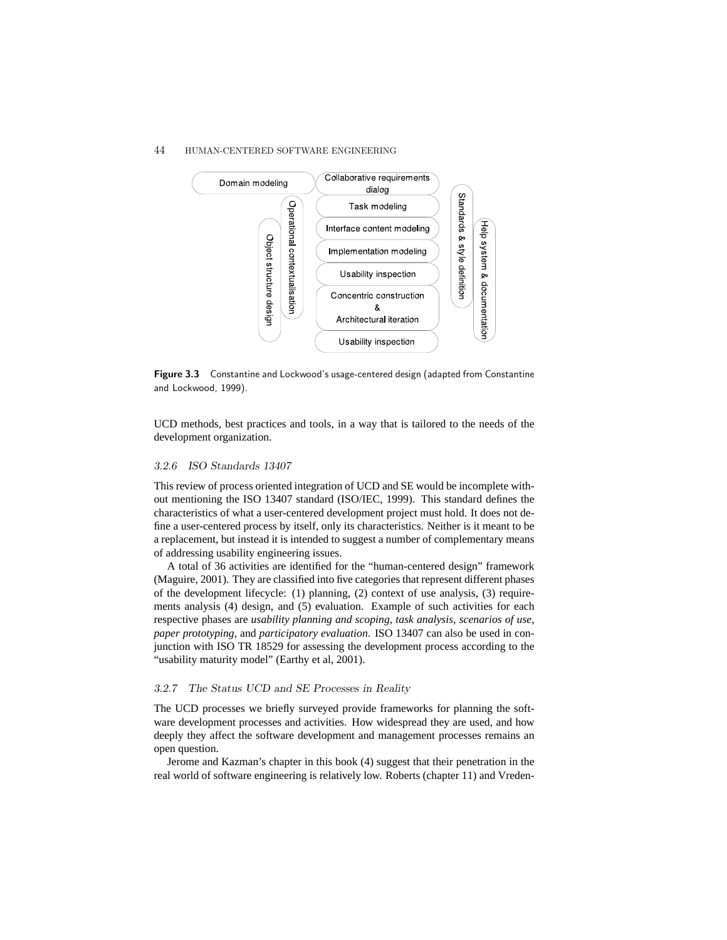

Figure 3.3 Constantine and Lockwood's usage-centered design (adapted from Constantine and Lockwood, 1999).

UCD methods, best practices and tools, in a way that is tailored to the needs of the development organization.

#### 3.2.6 ISO Standards 13407

This review of process oriented integration of UCD and SE would be incomplete without mentioning the ISO 13407 standard (ISO/IEC, 1999). This standard defines the characteristics of what a user-centered development project must hold. It does not define a user-centered process by itself, only its characteristics. Neither is it meant to be a replacement, but instead it is intended to suggest a number of complementary means of addressing usability engineering issues.

A total of 36 activities are identified for the "human-centered design" framework (Maguire, 2001). They are classified into five categories that represent different phases of the development lifecycle: (1) planning, (2) context of use analysis, (3) requirements analysis (4) design, and (5) evaluation. Example of such activities for each respective phases are *usability planning and scoping*, *task analysis*, *scenarios of use*, *paper prototyping*, and *participatory evaluation*. ISO 13407 can also be used in conjunction with ISO TR 18529 for assessing the development process according to the "usability maturity model" (Earthy et al, 2001).

#### 3.2.7 The Status UCD and SE Processes in Reality

The UCD processes we briefly surveyed provide frameworks for planning the software development processes and activities. How widespread they are used, and how deeply they affect the software development and management processes remains an open question.

Jerome and Kazman's chapter in this book (4) suggest that their penetration in the real world of software engineering is relatively low. Roberts (chapter 11) and Vreden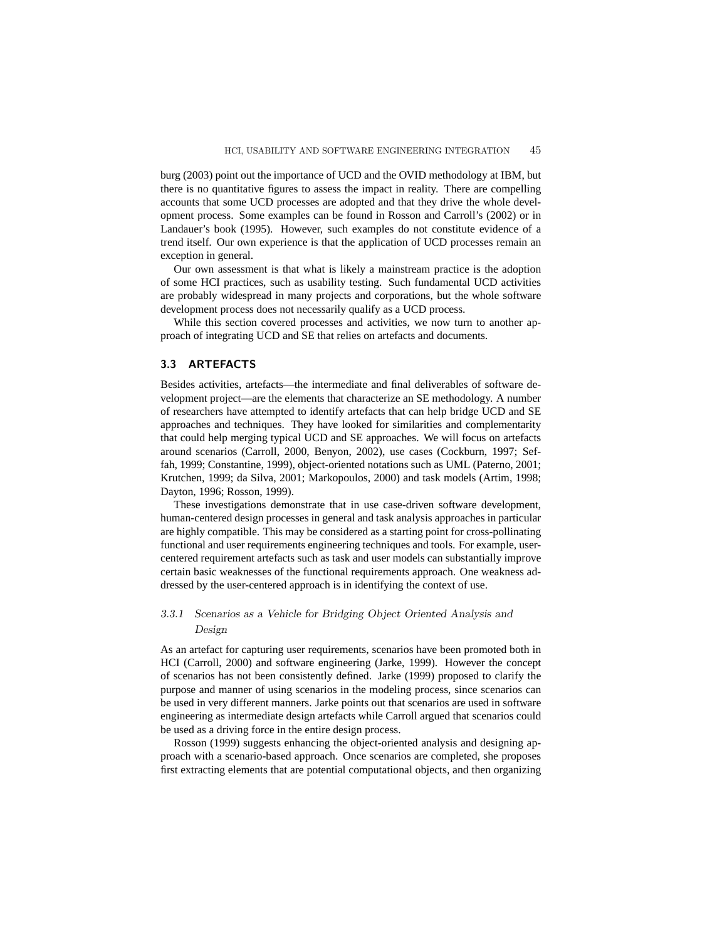burg (2003) point out the importance of UCD and the OVID methodology at IBM, but there is no quantitative figures to assess the impact in reality. There are compelling accounts that some UCD processes are adopted and that they drive the whole development process. Some examples can be found in Rosson and Carroll's (2002) or in Landauer's book (1995). However, such examples do not constitute evidence of a trend itself. Our own experience is that the application of UCD processes remain an exception in general.

Our own assessment is that what is likely a mainstream practice is the adoption of some HCI practices, such as usability testing. Such fundamental UCD activities are probably widespread in many projects and corporations, but the whole software development process does not necessarily qualify as a UCD process.

While this section covered processes and activities, we now turn to another approach of integrating UCD and SE that relies on artefacts and documents.

# 3.3 ARTEFACTS

Besides activities, artefacts—the intermediate and final deliverables of software development project—are the elements that characterize an SE methodology. A number of researchers have attempted to identify artefacts that can help bridge UCD and SE approaches and techniques. They have looked for similarities and complementarity that could help merging typical UCD and SE approaches. We will focus on artefacts around scenarios (Carroll, 2000, Benyon, 2002), use cases (Cockburn, 1997; Seffah, 1999; Constantine, 1999), object-oriented notations such as UML (Paterno, 2001; Krutchen, 1999; da Silva, 2001; Markopoulos, 2000) and task models (Artim, 1998; Dayton, 1996; Rosson, 1999).

These investigations demonstrate that in use case-driven software development, human-centered design processes in general and task analysis approaches in particular are highly compatible. This may be considered as a starting point for cross-pollinating functional and user requirements engineering techniques and tools. For example, usercentered requirement artefacts such as task and user models can substantially improve certain basic weaknesses of the functional requirements approach. One weakness addressed by the user-centered approach is in identifying the context of use.

# 3.3.1 Scenarios as a Vehicle for Bridging Object Oriented Analysis and Design

As an artefact for capturing user requirements, scenarios have been promoted both in HCI (Carroll, 2000) and software engineering (Jarke, 1999). However the concept of scenarios has not been consistently defined. Jarke (1999) proposed to clarify the purpose and manner of using scenarios in the modeling process, since scenarios can be used in very different manners. Jarke points out that scenarios are used in software engineering as intermediate design artefacts while Carroll argued that scenarios could be used as a driving force in the entire design process.

Rosson (1999) suggests enhancing the object-oriented analysis and designing approach with a scenario-based approach. Once scenarios are completed, she proposes first extracting elements that are potential computational objects, and then organizing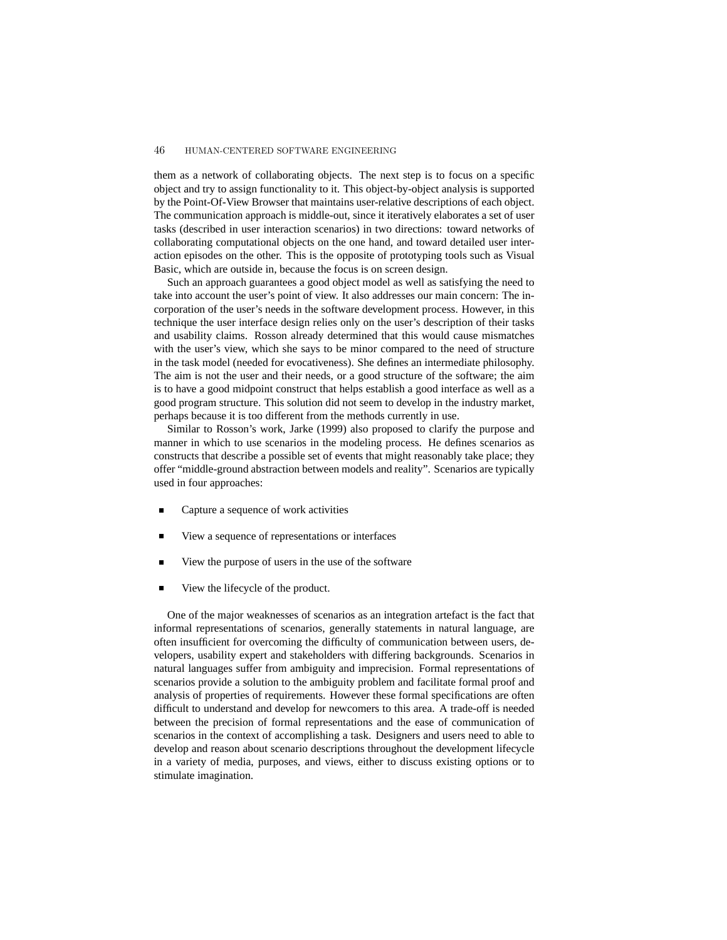them as a network of collaborating objects. The next step is to focus on a specific object and try to assign functionality to it. This object-by-object analysis is supported by the Point-Of-View Browser that maintains user-relative descriptions of each object. The communication approach is middle-out, since it iteratively elaborates a set of user tasks (described in user interaction scenarios) in two directions: toward networks of collaborating computational objects on the one hand, and toward detailed user interaction episodes on the other. This is the opposite of prototyping tools such as Visual Basic, which are outside in, because the focus is on screen design.

Such an approach guarantees a good object model as well as satisfying the need to take into account the user's point of view. It also addresses our main concern: The incorporation of the user's needs in the software development process. However, in this technique the user interface design relies only on the user's description of their tasks and usability claims. Rosson already determined that this would cause mismatches with the user's view, which she says to be minor compared to the need of structure in the task model (needed for evocativeness). She defines an intermediate philosophy. The aim is not the user and their needs, or a good structure of the software; the aim is to have a good midpoint construct that helps establish a good interface as well as a good program structure. This solution did not seem to develop in the industry market, perhaps because it is too different from the methods currently in use.

Similar to Rosson's work, Jarke (1999) also proposed to clarify the purpose and manner in which to use scenarios in the modeling process. He defines scenarios as constructs that describe a possible set of events that might reasonably take place; they offer "middle-ground abstraction between models and reality". Scenarios are typically used in four approaches:

- Capture a sequence of work activities
- View a sequence of representations or interfaces
- View the purpose of users in the use of the software
- View the lifecycle of the product.

One of the major weaknesses of scenarios as an integration artefact is the fact that informal representations of scenarios, generally statements in natural language, are often insufficient for overcoming the difficulty of communication between users, developers, usability expert and stakeholders with differing backgrounds. Scenarios in natural languages suffer from ambiguity and imprecision. Formal representations of scenarios provide a solution to the ambiguity problem and facilitate formal proof and analysis of properties of requirements. However these formal specifications are often difficult to understand and develop for newcomers to this area. A trade-off is needed between the precision of formal representations and the ease of communication of scenarios in the context of accomplishing a task. Designers and users need to able to develop and reason about scenario descriptions throughout the development lifecycle in a variety of media, purposes, and views, either to discuss existing options or to stimulate imagination.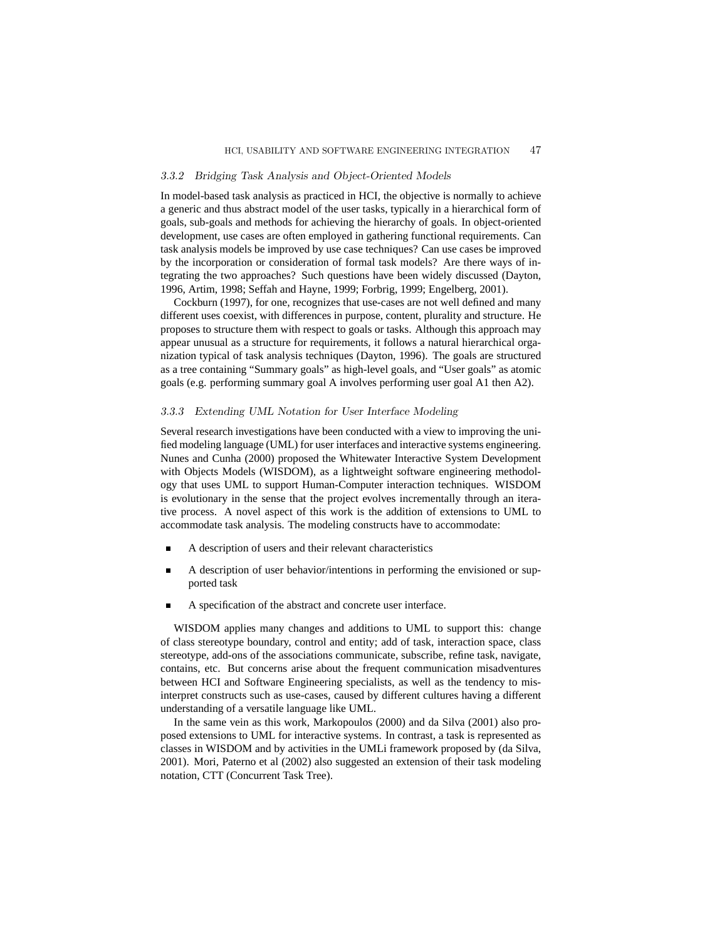# 3.3.2 Bridging Task Analysis and Object-Oriented Models

In model-based task analysis as practiced in HCI, the objective is normally to achieve a generic and thus abstract model of the user tasks, typically in a hierarchical form of goals, sub-goals and methods for achieving the hierarchy of goals. In object-oriented development, use cases are often employed in gathering functional requirements. Can task analysis models be improved by use case techniques? Can use cases be improved by the incorporation or consideration of formal task models? Are there ways of integrating the two approaches? Such questions have been widely discussed (Dayton, 1996, Artim, 1998; Seffah and Hayne, 1999; Forbrig, 1999; Engelberg, 2001).

Cockburn (1997), for one, recognizes that use-cases are not well defined and many different uses coexist, with differences in purpose, content, plurality and structure. He proposes to structure them with respect to goals or tasks. Although this approach may appear unusual as a structure for requirements, it follows a natural hierarchical organization typical of task analysis techniques (Dayton, 1996). The goals are structured as a tree containing "Summary goals" as high-level goals, and "User goals" as atomic goals (e.g. performing summary goal A involves performing user goal A1 then A2).

# 3.3.3 Extending UML Notation for User Interface Modeling

Several research investigations have been conducted with a view to improving the unified modeling language (UML) for user interfaces and interactive systems engineering. Nunes and Cunha (2000) proposed the Whitewater Interactive System Development with Objects Models (WISDOM), as a lightweight software engineering methodology that uses UML to support Human-Computer interaction techniques. WISDOM is evolutionary in the sense that the project evolves incrementally through an iterative process. A novel aspect of this work is the addition of extensions to UML to accommodate task analysis. The modeling constructs have to accommodate:

- A description of users and their relevant characteristics
- A description of user behavior/intentions in performing the envisioned or supported task
- A specification of the abstract and concrete user interface.

WISDOM applies many changes and additions to UML to support this: change of class stereotype boundary, control and entity; add of task, interaction space, class stereotype, add-ons of the associations communicate, subscribe, refine task, navigate, contains, etc. But concerns arise about the frequent communication misadventures between HCI and Software Engineering specialists, as well as the tendency to misinterpret constructs such as use-cases, caused by different cultures having a different understanding of a versatile language like UML.

In the same vein as this work, Markopoulos (2000) and da Silva (2001) also proposed extensions to UML for interactive systems. In contrast, a task is represented as classes in WISDOM and by activities in the UMLi framework proposed by (da Silva, 2001). Mori, Paterno et al (2002) also suggested an extension of their task modeling notation, CTT (Concurrent Task Tree).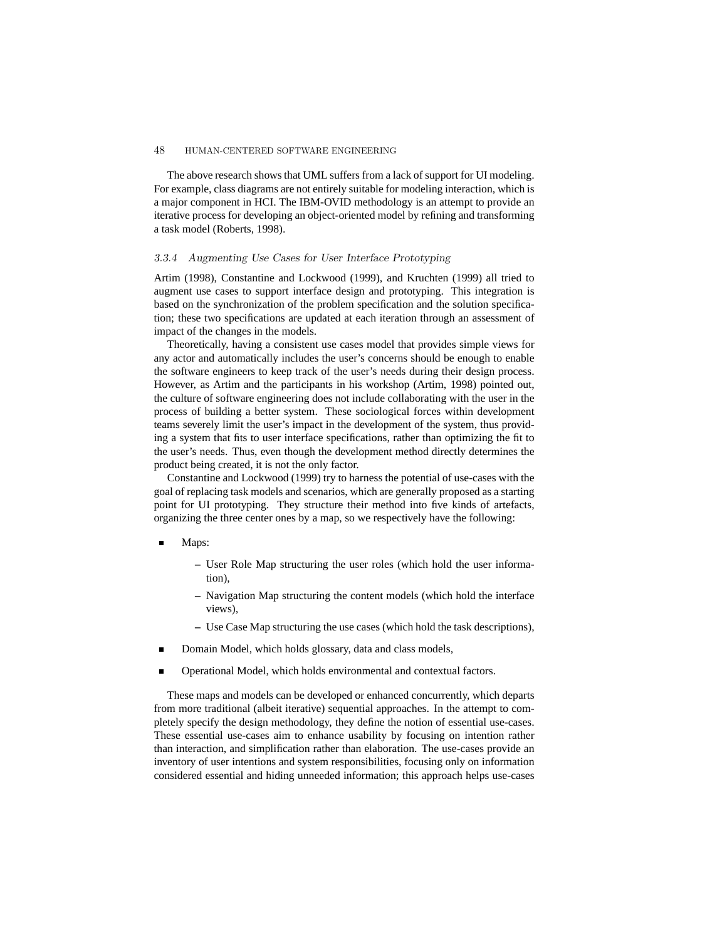The above research shows that UML suffers from a lack of support for UI modeling. For example, class diagrams are not entirely suitable for modeling interaction, which is a major component in HCI. The IBM-OVID methodology is an attempt to provide an iterative process for developing an object-oriented model by refining and transforming a task model (Roberts, 1998).

#### 3.3.4 Augmenting Use Cases for User Interface Prototyping

Artim (1998), Constantine and Lockwood (1999), and Kruchten (1999) all tried to augment use cases to support interface design and prototyping. This integration is based on the synchronization of the problem specification and the solution specification; these two specifications are updated at each iteration through an assessment of impact of the changes in the models.

Theoretically, having a consistent use cases model that provides simple views for any actor and automatically includes the user's concerns should be enough to enable the software engineers to keep track of the user's needs during their design process. However, as Artim and the participants in his workshop (Artim, 1998) pointed out, the culture of software engineering does not include collaborating with the user in the process of building a better system. These sociological forces within development teams severely limit the user's impact in the development of the system, thus providing a system that fits to user interface specifications, rather than optimizing the fit to the user's needs. Thus, even though the development method directly determines the product being created, it is not the only factor.

Constantine and Lockwood (1999) try to harness the potential of use-cases with the goal of replacing task models and scenarios, which are generally proposed as a starting point for UI prototyping. They structure their method into five kinds of artefacts, organizing the three center ones by a map, so we respectively have the following:

#### Maps:

- **–** User Role Map structuring the user roles (which hold the user information),
- **–** Navigation Map structuring the content models (which hold the interface views),
- **–** Use Case Map structuring the use cases (which hold the task descriptions),
- Domain Model, which holds glossary, data and class models,
- Operational Model, which holds environmental and contextual factors. Ē

These maps and models can be developed or enhanced concurrently, which departs from more traditional (albeit iterative) sequential approaches. In the attempt to completely specify the design methodology, they define the notion of essential use-cases. These essential use-cases aim to enhance usability by focusing on intention rather than interaction, and simplification rather than elaboration. The use-cases provide an inventory of user intentions and system responsibilities, focusing only on information considered essential and hiding unneeded information; this approach helps use-cases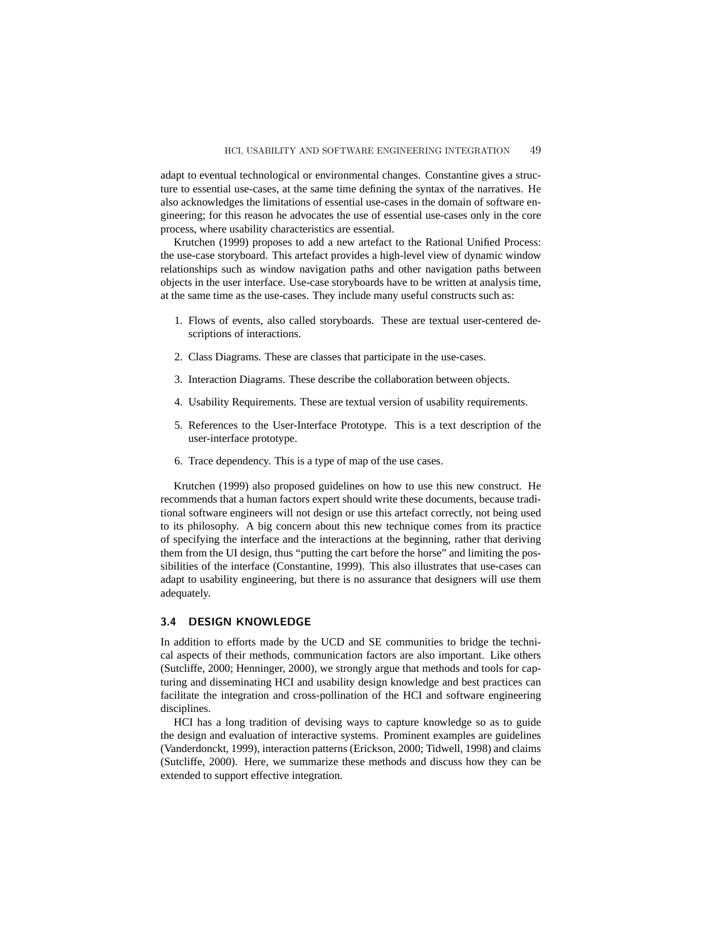adapt to eventual technological or environmental changes. Constantine gives a structure to essential use-cases, at the same time defining the syntax of the narratives. He also acknowledges the limitations of essential use-cases in the domain of software engineering; for this reason he advocates the use of essential use-cases only in the core process, where usability characteristics are essential.

Krutchen (1999) proposes to add a new artefact to the Rational Unified Process: the use-case storyboard. This artefact provides a high-level view of dynamic window relationships such as window navigation paths and other navigation paths between objects in the user interface. Use-case storyboards have to be written at analysis time, at the same time as the use-cases. They include many useful constructs such as:

- 1. Flows of events, also called storyboards. These are textual user-centered descriptions of interactions.
- 2. Class Diagrams. These are classes that participate in the use-cases.
- 3. Interaction Diagrams. These describe the collaboration between objects.
- 4. Usability Requirements. These are textual version of usability requirements.
- 5. References to the User-Interface Prototype. This is a text description of the user-interface prototype.
- 6. Trace dependency. This is a type of map of the use cases.

Krutchen (1999) also proposed guidelines on how to use this new construct. He recommends that a human factors expert should write these documents, because traditional software engineers will not design or use this artefact correctly, not being used to its philosophy. A big concern about this new technique comes from its practice of specifying the interface and the interactions at the beginning, rather that deriving them from the UI design, thus "putting the cart before the horse" and limiting the possibilities of the interface (Constantine, 1999). This also illustrates that use-cases can adapt to usability engineering, but there is no assurance that designers will use them adequately.

# 3.4 DESIGN KNOWLEDGE

In addition to efforts made by the UCD and SE communities to bridge the technical aspects of their methods, communication factors are also important. Like others (Sutcliffe, 2000; Henninger, 2000), we strongly argue that methods and tools for capturing and disseminating HCI and usability design knowledge and best practices can facilitate the integration and cross-pollination of the HCI and software engineering disciplines.

HCI has a long tradition of devising ways to capture knowledge so as to guide the design and evaluation of interactive systems. Prominent examples are guidelines (Vanderdonckt, 1999), interaction patterns (Erickson, 2000; Tidwell, 1998) and claims (Sutcliffe, 2000). Here, we summarize these methods and discuss how they can be extended to support effective integration.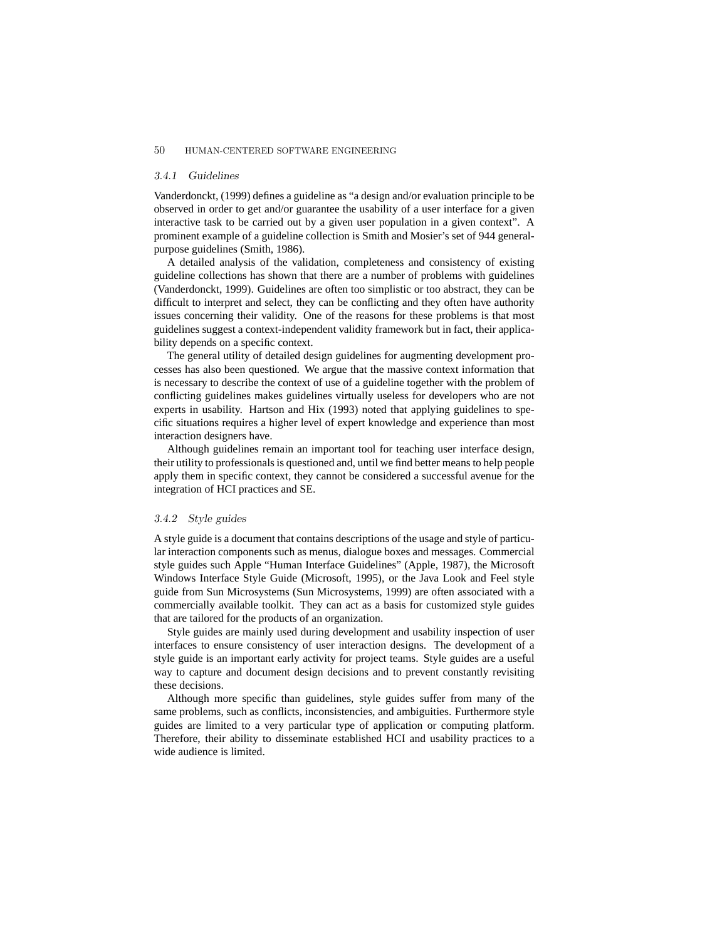# 3.4.1 Guidelines

Vanderdonckt, (1999) defines a guideline as "a design and/or evaluation principle to be observed in order to get and/or guarantee the usability of a user interface for a given interactive task to be carried out by a given user population in a given context". A prominent example of a guideline collection is Smith and Mosier's set of 944 generalpurpose guidelines (Smith, 1986).

A detailed analysis of the validation, completeness and consistency of existing guideline collections has shown that there are a number of problems with guidelines (Vanderdonckt, 1999). Guidelines are often too simplistic or too abstract, they can be difficult to interpret and select, they can be conflicting and they often have authority issues concerning their validity. One of the reasons for these problems is that most guidelines suggest a context-independent validity framework but in fact, their applicability depends on a specific context.

The general utility of detailed design guidelines for augmenting development processes has also been questioned. We argue that the massive context information that is necessary to describe the context of use of a guideline together with the problem of conflicting guidelines makes guidelines virtually useless for developers who are not experts in usability. Hartson and Hix (1993) noted that applying guidelines to specific situations requires a higher level of expert knowledge and experience than most interaction designers have.

Although guidelines remain an important tool for teaching user interface design, their utility to professionals is questioned and, until we find better means to help people apply them in specific context, they cannot be considered a successful avenue for the integration of HCI practices and SE.

# 3.4.2 Style guides

A style guide is a document that contains descriptions of the usage and style of particular interaction components such as menus, dialogue boxes and messages. Commercial style guides such Apple "Human Interface Guidelines" (Apple, 1987), the Microsoft Windows Interface Style Guide (Microsoft, 1995), or the Java Look and Feel style guide from Sun Microsystems (Sun Microsystems, 1999) are often associated with a commercially available toolkit. They can act as a basis for customized style guides that are tailored for the products of an organization.

Style guides are mainly used during development and usability inspection of user interfaces to ensure consistency of user interaction designs. The development of a style guide is an important early activity for project teams. Style guides are a useful way to capture and document design decisions and to prevent constantly revisiting these decisions.

Although more specific than guidelines, style guides suffer from many of the same problems, such as conflicts, inconsistencies, and ambiguities. Furthermore style guides are limited to a very particular type of application or computing platform. Therefore, their ability to disseminate established HCI and usability practices to a wide audience is limited.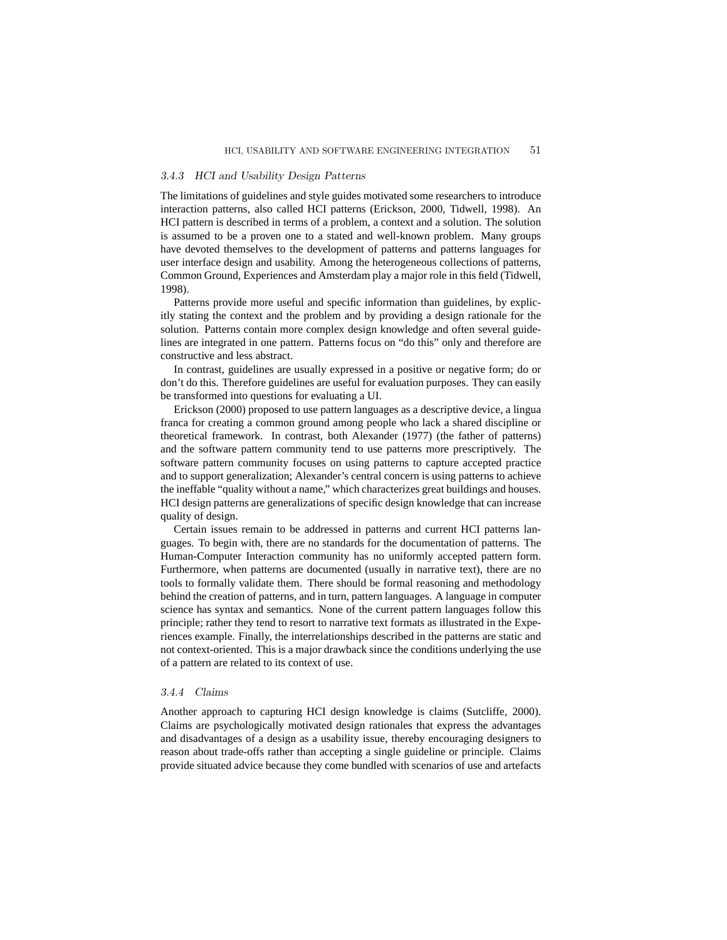# 3.4.3 HCI and Usability Design Patterns

The limitations of guidelines and style guides motivated some researchers to introduce interaction patterns, also called HCI patterns (Erickson, 2000, Tidwell, 1998). An HCI pattern is described in terms of a problem, a context and a solution. The solution is assumed to be a proven one to a stated and well-known problem. Many groups have devoted themselves to the development of patterns and patterns languages for user interface design and usability. Among the heterogeneous collections of patterns, Common Ground, Experiences and Amsterdam play a major role in this field (Tidwell, 1998).

Patterns provide more useful and specific information than guidelines, by explicitly stating the context and the problem and by providing a design rationale for the solution. Patterns contain more complex design knowledge and often several guidelines are integrated in one pattern. Patterns focus on "do this" only and therefore are constructive and less abstract.

In contrast, guidelines are usually expressed in a positive or negative form; do or don't do this. Therefore guidelines are useful for evaluation purposes. They can easily be transformed into questions for evaluating a UI.

Erickson (2000) proposed to use pattern languages as a descriptive device, a lingua franca for creating a common ground among people who lack a shared discipline or theoretical framework. In contrast, both Alexander (1977) (the father of patterns) and the software pattern community tend to use patterns more prescriptively. The software pattern community focuses on using patterns to capture accepted practice and to support generalization; Alexander's central concern is using patterns to achieve the ineffable "quality without a name," which characterizes great buildings and houses. HCI design patterns are generalizations of specific design knowledge that can increase quality of design.

Certain issues remain to be addressed in patterns and current HCI patterns languages. To begin with, there are no standards for the documentation of patterns. The Human-Computer Interaction community has no uniformly accepted pattern form. Furthermore, when patterns are documented (usually in narrative text), there are no tools to formally validate them. There should be formal reasoning and methodology behind the creation of patterns, and in turn, pattern languages. A language in computer science has syntax and semantics. None of the current pattern languages follow this principle; rather they tend to resort to narrative text formats as illustrated in the Experiences example. Finally, the interrelationships described in the patterns are static and not context-oriented. This is a major drawback since the conditions underlying the use of a pattern are related to its context of use.

# 3.4.4 Claims

Another approach to capturing HCI design knowledge is claims (Sutcliffe, 2000). Claims are psychologically motivated design rationales that express the advantages and disadvantages of a design as a usability issue, thereby encouraging designers to reason about trade-offs rather than accepting a single guideline or principle. Claims provide situated advice because they come bundled with scenarios of use and artefacts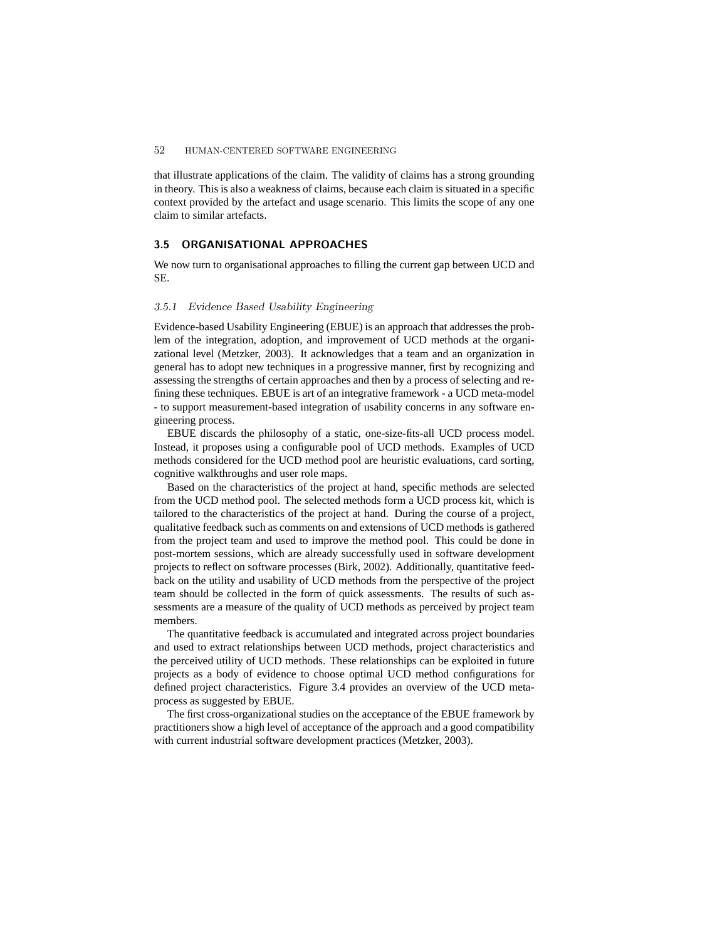that illustrate applications of the claim. The validity of claims has a strong grounding in theory. This is also a weakness of claims, because each claim is situated in a specific context provided by the artefact and usage scenario. This limits the scope of any one claim to similar artefacts.

# 3.5 ORGANISATIONAL APPROACHES

We now turn to organisational approaches to filling the current gap between UCD and SE.

# 3.5.1 Evidence Based Usability Engineering

Evidence-based Usability Engineering (EBUE) is an approach that addresses the problem of the integration, adoption, and improvement of UCD methods at the organizational level (Metzker, 2003). It acknowledges that a team and an organization in general has to adopt new techniques in a progressive manner, first by recognizing and assessing the strengths of certain approaches and then by a process of selecting and refining these techniques. EBUE is art of an integrative framework - a UCD meta-model - to support measurement-based integration of usability concerns in any software engineering process.

EBUE discards the philosophy of a static, one-size-fits-all UCD process model. Instead, it proposes using a configurable pool of UCD methods. Examples of UCD methods considered for the UCD method pool are heuristic evaluations, card sorting, cognitive walkthroughs and user role maps.

Based on the characteristics of the project at hand, specific methods are selected from the UCD method pool. The selected methods form a UCD process kit, which is tailored to the characteristics of the project at hand. During the course of a project, qualitative feedback such as comments on and extensions of UCD methods is gathered from the project team and used to improve the method pool. This could be done in post-mortem sessions, which are already successfully used in software development projects to reflect on software processes (Birk, 2002). Additionally, quantitative feedback on the utility and usability of UCD methods from the perspective of the project team should be collected in the form of quick assessments. The results of such assessments are a measure of the quality of UCD methods as perceived by project team members.

The quantitative feedback is accumulated and integrated across project boundaries and used to extract relationships between UCD methods, project characteristics and the perceived utility of UCD methods. These relationships can be exploited in future projects as a body of evidence to choose optimal UCD method configurations for defined project characteristics. Figure 3.4 provides an overview of the UCD metaprocess as suggested by EBUE.

The first cross-organizational studies on the acceptance of the EBUE framework by practitioners show a high level of acceptance of the approach and a good compatibility with current industrial software development practices (Metzker, 2003).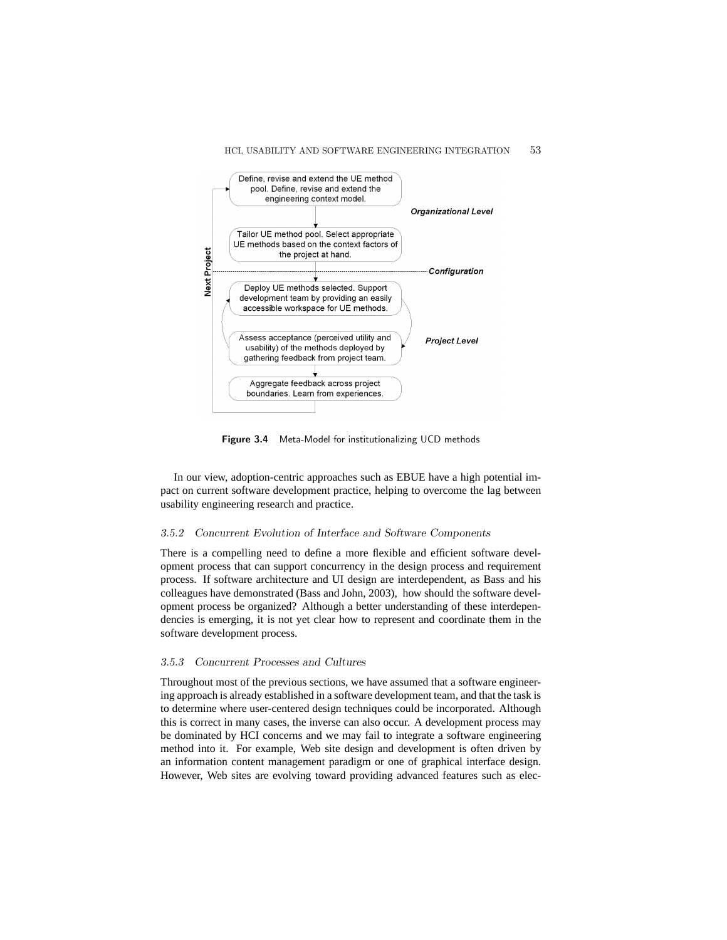

Figure 3.4 Meta-Model for institutionalizing UCD methods

In our view, adoption-centric approaches such as EBUE have a high potential impact on current software development practice, helping to overcome the lag between usability engineering research and practice.

#### 3.5.2 Concurrent Evolution of Interface and Software Components

There is a compelling need to define a more flexible and efficient software development process that can support concurrency in the design process and requirement process. If software architecture and UI design are interdependent, as Bass and his colleagues have demonstrated (Bass and John, 2003), how should the software development process be organized? Although a better understanding of these interdependencies is emerging, it is not yet clear how to represent and coordinate them in the software development process.

# 3.5.3 Concurrent Processes and Cultures

Throughout most of the previous sections, we have assumed that a software engineering approach is already established in a software development team, and that the task is to determine where user-centered design techniques could be incorporated. Although this is correct in many cases, the inverse can also occur. A development process may be dominated by HCI concerns and we may fail to integrate a software engineering method into it. For example, Web site design and development is often driven by an information content management paradigm or one of graphical interface design. However, Web sites are evolving toward providing advanced features such as elec-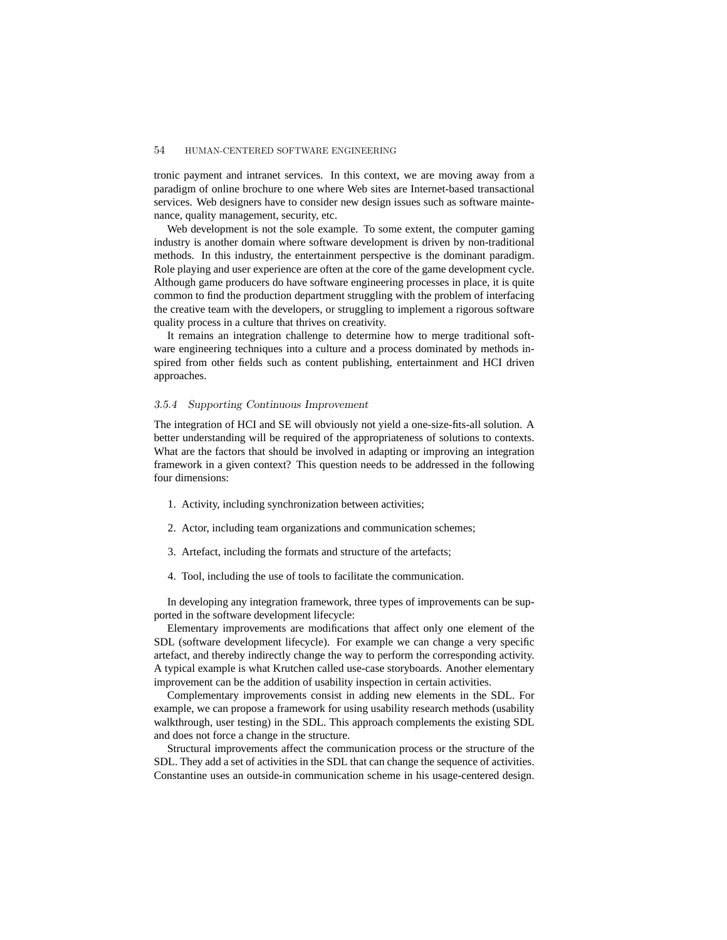tronic payment and intranet services. In this context, we are moving away from a paradigm of online brochure to one where Web sites are Internet-based transactional services. Web designers have to consider new design issues such as software maintenance, quality management, security, etc.

Web development is not the sole example. To some extent, the computer gaming industry is another domain where software development is driven by non-traditional methods. In this industry, the entertainment perspective is the dominant paradigm. Role playing and user experience are often at the core of the game development cycle. Although game producers do have software engineering processes in place, it is quite common to find the production department struggling with the problem of interfacing the creative team with the developers, or struggling to implement a rigorous software quality process in a culture that thrives on creativity.

It remains an integration challenge to determine how to merge traditional software engineering techniques into a culture and a process dominated by methods inspired from other fields such as content publishing, entertainment and HCI driven approaches.

## 3.5.4 Supporting Continuous Improvement

The integration of HCI and SE will obviously not yield a one-size-fits-all solution. A better understanding will be required of the appropriateness of solutions to contexts. What are the factors that should be involved in adapting or improving an integration framework in a given context? This question needs to be addressed in the following four dimensions:

- 1. Activity, including synchronization between activities;
- 2. Actor, including team organizations and communication schemes;
- 3. Artefact, including the formats and structure of the artefacts;
- 4. Tool, including the use of tools to facilitate the communication.

In developing any integration framework, three types of improvements can be supported in the software development lifecycle:

Elementary improvements are modifications that affect only one element of the SDL (software development lifecycle). For example we can change a very specific artefact, and thereby indirectly change the way to perform the corresponding activity. A typical example is what Krutchen called use-case storyboards. Another elementary improvement can be the addition of usability inspection in certain activities.

Complementary improvements consist in adding new elements in the SDL. For example, we can propose a framework for using usability research methods (usability walkthrough, user testing) in the SDL. This approach complements the existing SDL and does not force a change in the structure.

Structural improvements affect the communication process or the structure of the SDL. They add a set of activities in the SDL that can change the sequence of activities. Constantine uses an outside-in communication scheme in his usage-centered design.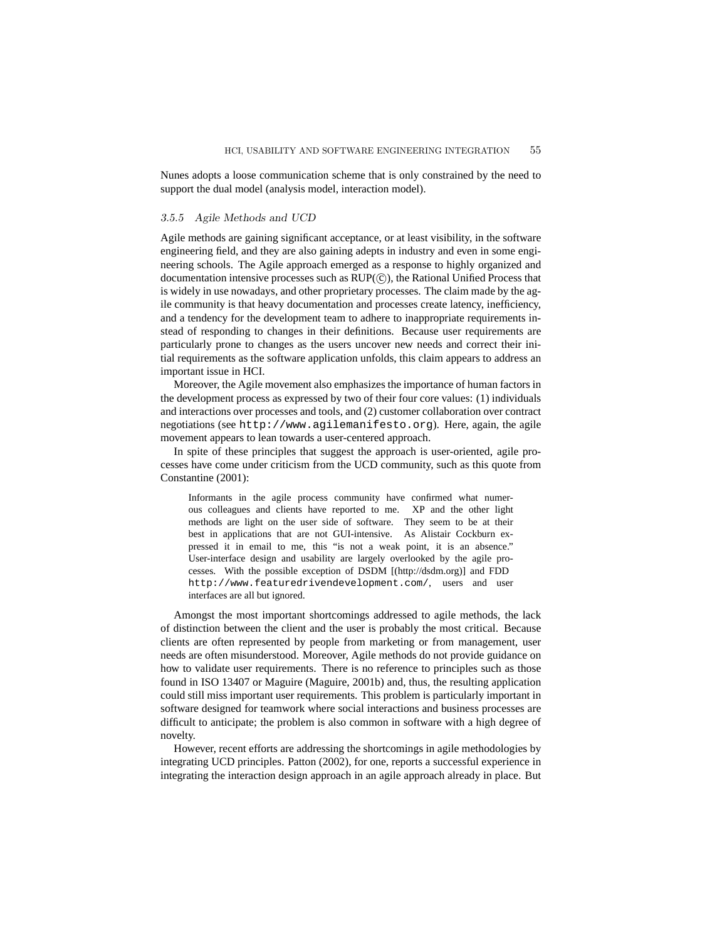Nunes adopts a loose communication scheme that is only constrained by the need to support the dual model (analysis model, interaction model).

#### 3.5.5 Agile Methods and UCD

Agile methods are gaining significant acceptance, or at least visibility, in the software engineering field, and they are also gaining adepts in industry and even in some engineering schools. The Agile approach emerged as a response to highly organized and documentation intensive processes such as  $RUP(\mathcal{C})$ , the Rational Unified Process that is widely in use nowadays, and other proprietary processes. The claim made by the agile community is that heavy documentation and processes create latency, inefficiency, and a tendency for the development team to adhere to inappropriate requirements instead of responding to changes in their definitions. Because user requirements are particularly prone to changes as the users uncover new needs and correct their initial requirements as the software application unfolds, this claim appears to address an important issue in HCI.

Moreover, the Agile movement also emphasizes the importance of human factors in the development process as expressed by two of their four core values: (1) individuals and interactions over processes and tools, and (2) customer collaboration over contract negotiations (see http://www.agilemanifesto.org). Here, again, the agile movement appears to lean towards a user-centered approach.

In spite of these principles that suggest the approach is user-oriented, agile processes have come under criticism from the UCD community, such as this quote from Constantine (2001):

Informants in the agile process community have confirmed what numerous colleagues and clients have reported to me. XP and the other light methods are light on the user side of software. They seem to be at their best in applications that are not GUI-intensive. As Alistair Cockburn expressed it in email to me, this "is not a weak point, it is an absence." User-interface design and usability are largely overlooked by the agile processes. With the possible exception of DSDM [(http://dsdm.org)] and FDD http://www.featuredrivendevelopment.com/, users and user interfaces are all but ignored.

Amongst the most important shortcomings addressed to agile methods, the lack of distinction between the client and the user is probably the most critical. Because clients are often represented by people from marketing or from management, user needs are often misunderstood. Moreover, Agile methods do not provide guidance on how to validate user requirements. There is no reference to principles such as those found in ISO 13407 or Maguire (Maguire, 2001b) and, thus, the resulting application could still miss important user requirements. This problem is particularly important in software designed for teamwork where social interactions and business processes are difficult to anticipate; the problem is also common in software with a high degree of novelty.

However, recent efforts are addressing the shortcomings in agile methodologies by integrating UCD principles. Patton (2002), for one, reports a successful experience in integrating the interaction design approach in an agile approach already in place. But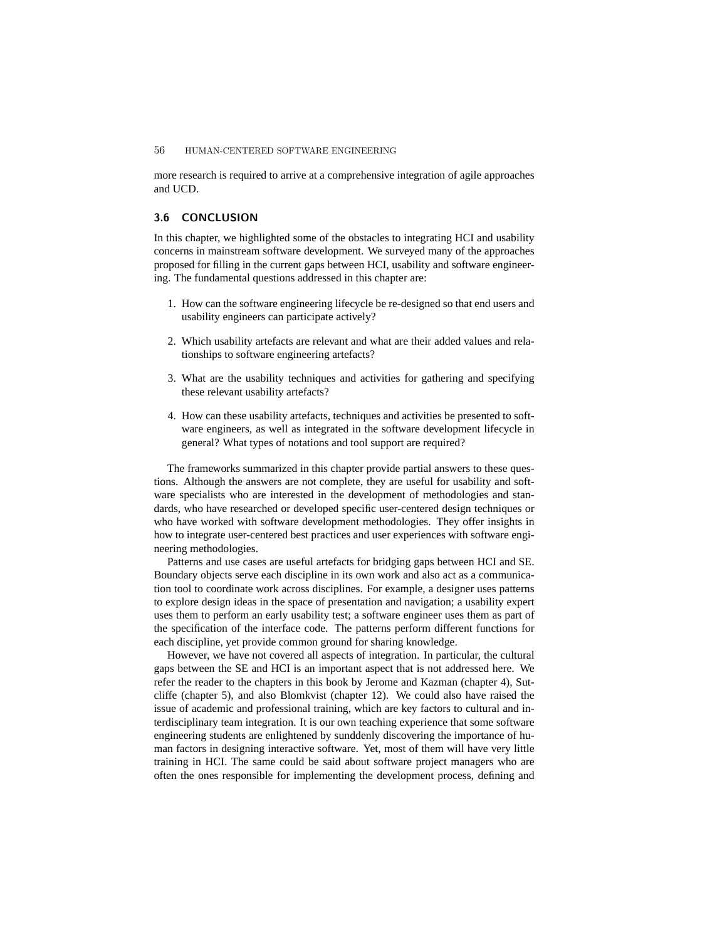more research is required to arrive at a comprehensive integration of agile approaches and UCD.

# 3.6 CONCLUSION

In this chapter, we highlighted some of the obstacles to integrating HCI and usability concerns in mainstream software development. We surveyed many of the approaches proposed for filling in the current gaps between HCI, usability and software engineering. The fundamental questions addressed in this chapter are:

- 1. How can the software engineering lifecycle be re-designed so that end users and usability engineers can participate actively?
- 2. Which usability artefacts are relevant and what are their added values and relationships to software engineering artefacts?
- 3. What are the usability techniques and activities for gathering and specifying these relevant usability artefacts?
- 4. How can these usability artefacts, techniques and activities be presented to software engineers, as well as integrated in the software development lifecycle in general? What types of notations and tool support are required?

The frameworks summarized in this chapter provide partial answers to these questions. Although the answers are not complete, they are useful for usability and software specialists who are interested in the development of methodologies and standards, who have researched or developed specific user-centered design techniques or who have worked with software development methodologies. They offer insights in how to integrate user-centered best practices and user experiences with software engineering methodologies.

Patterns and use cases are useful artefacts for bridging gaps between HCI and SE. Boundary objects serve each discipline in its own work and also act as a communication tool to coordinate work across disciplines. For example, a designer uses patterns to explore design ideas in the space of presentation and navigation; a usability expert uses them to perform an early usability test; a software engineer uses them as part of the specification of the interface code. The patterns perform different functions for each discipline, yet provide common ground for sharing knowledge.

However, we have not covered all aspects of integration. In particular, the cultural gaps between the SE and HCI is an important aspect that is not addressed here. We refer the reader to the chapters in this book by Jerome and Kazman (chapter 4), Sutcliffe (chapter 5), and also Blomkvist (chapter 12). We could also have raised the issue of academic and professional training, which are key factors to cultural and interdisciplinary team integration. It is our own teaching experience that some software engineering students are enlightened by sunddenly discovering the importance of human factors in designing interactive software. Yet, most of them will have very little training in HCI. The same could be said about software project managers who are often the ones responsible for implementing the development process, defining and